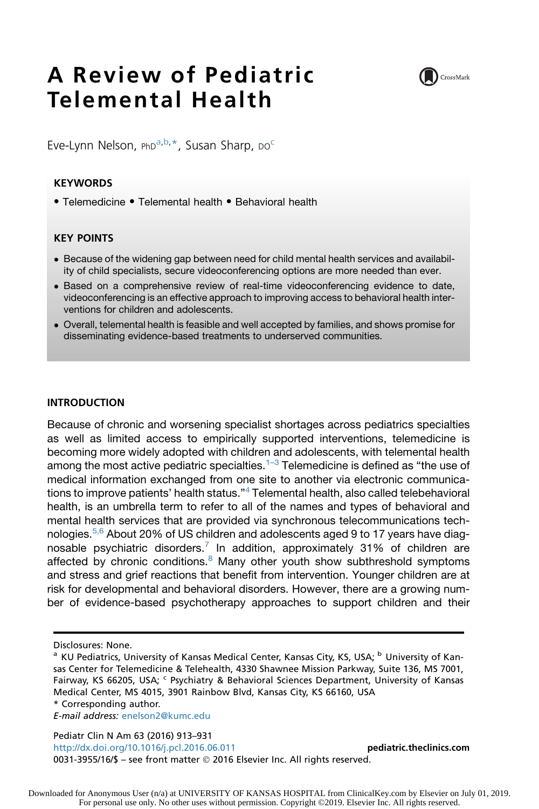# A Review of Pediatric Telemental Health



Eve-Lynn Nelson, PhDa,b,\*, Susan Sharp, Doc

#### **KEYWORDS**

• Telemedicine • Telemental health • Behavioral health

#### KEY POINTS

- Because of the widening gap between need for child mental health services and availability of child specialists, secure videoconferencing options are more needed than ever.
- Based on a comprehensive review of real-time videoconferencing evidence to date, videoconferencing is an effective approach to improving access to behavioral health interventions for children and adolescents.
- Overall, telemental health is feasible and well accepted by families, and shows promise for disseminating evidence-based treatments to underserved communities.

#### INTRODUCTION

Because of chronic and worsening specialist shortages across pediatrics specialties as well as limited access to empirically supported interventions, telemedicine is becoming more widely adopted with children and adolescents, with telemental health among the most active pediatric specialties.<sup>1-3</sup> Telemedicine is defined as "the use of medical information exchanged from one site to another via electronic communica-tions to improve patients' health status."<sup>[4](#page-14-0)</sup> Telemental health, also called telebehavioral health, is an umbrella term to refer to all of the names and types of behavioral and mental health services that are provided via synchronous telecommunications tech-nologies.<sup>[5,6](#page-14-0)</sup> About 20% of US children and adolescents aged 9 to 17 years have diag-nosable psychiatric disorders.<sup>[7](#page-14-0)</sup> In addition, approximately 31% of children are affected by chronic conditions.<sup>[8](#page-14-0)</sup> Many other youth show subthreshold symptoms and stress and grief reactions that benefit from intervention. Younger children are at risk for developmental and behavioral disorders. However, there are a growing number of evidence-based psychotherapy approaches to support children and their

E-mail address: [enelson2@kumc.edu](mailto:enelson2@kumc.edu)

Pediatr Clin N Am 63 (2016) 913–931 <http://dx.doi.org/10.1016/j.pcl.2016.06.011> **[pediatric.theclinics.com](http://pediatric.theclinics.com)** 0031-3955/16/\$ – see front matter 2016 Elsevier Inc. All rights reserved.

Downloaded for Anonymous User (n/a) at UNIVERSITY OF KANSAS HOSPITAL from ClinicalKey.com by Elsevier on July 01, 2019. For personal use only. No other uses without permission. Copyright ©2019. Elsevier Inc. All rights reserved.

Disclosures: None.

<sup>&</sup>lt;sup>a</sup> KU Pediatrics, University of Kansas Medical Center, Kansas City, KS, USA; <sup>b</sup> University of Kansas Center for Telemedicine & Telehealth, 4330 Shawnee Mission Parkway, Suite 136, MS 7001, Fairway, KS 66205, USA; <sup>c</sup> Psychiatry & Behavioral Sciences Department, University of Kansas Medical Center, MS 4015, 3901 Rainbow Blvd, Kansas City, KS 66160, USA \* Corresponding author.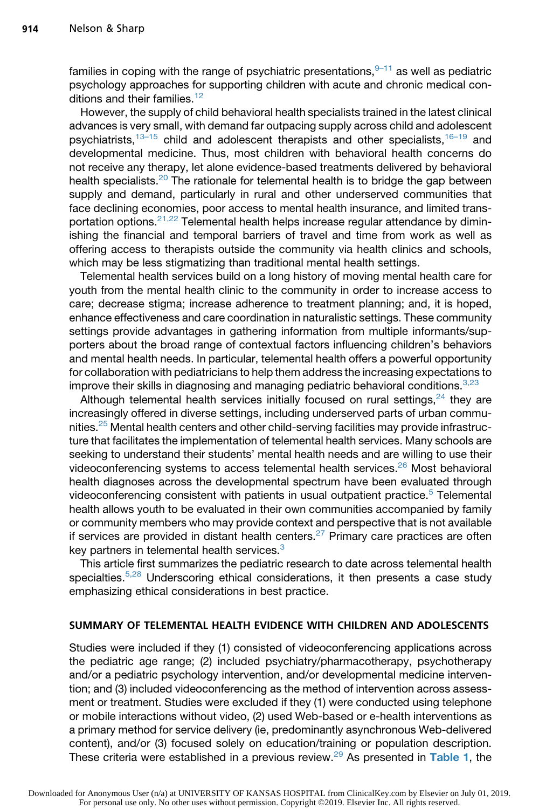families in coping with the range of psychiatric presentations,  $9-11$  as well as pediatric psychology approaches for supporting children with acute and chronic medical con-ditions and their families.<sup>[12](#page-14-0)</sup>

However, the supply of child behavioral health specialists trained in the latest clinical advances is very small, with demand far outpacing supply across child and adolescent psychiatrists,  $13-15$  child and adolescent therapists and other specialists,  $16-19$  and developmental medicine. Thus, most children with behavioral health concerns do not receive any therapy, let alone evidence-based treatments delivered by behavioral health specialists.<sup>[20](#page-14-0)</sup> The rationale for telemental health is to bridge the gap between supply and demand, particularly in rural and other underserved communities that face declining economies, poor access to mental health insurance, and limited transportation options. $2^{1,22}$  Telemental health helps increase regular attendance by diminishing the financial and temporal barriers of travel and time from work as well as offering access to therapists outside the community via health clinics and schools, which may be less stigmatizing than traditional mental health settings.

Telemental health services build on a long history of moving mental health care for youth from the mental health clinic to the community in order to increase access to care; decrease stigma; increase adherence to treatment planning; and, it is hoped, enhance effectiveness and care coordination in naturalistic settings. These community settings provide advantages in gathering information from multiple informants/supporters about the broad range of contextual factors influencing children's behaviors and mental health needs. In particular, telemental health offers a powerful opportunity for collaboration with pediatricians to help them address the increasing expectations to improve their skills in diagnosing and managing pediatric behavioral conditions.  $3,23$ 

Although telemental health services initially focused on rural settings, $24$  they are increasingly offered in diverse settings, including underserved parts of urban communities.[25](#page-15-0) Mental health centers and other child-serving facilities may provide infrastructure that facilitates the implementation of telemental health services. Many schools are seeking to understand their students' mental health needs and are willing to use their videoconferencing systems to access telemental health services.<sup>[26](#page-15-0)</sup> Most behavioral health diagnoses across the developmental spectrum have been evaluated through videoconferencing consistent with patients in usual outpatient practice.<sup>[5](#page-14-0)</sup> Telemental health allows youth to be evaluated in their own communities accompanied by family or community members who may provide context and perspective that is not available if services are provided in distant health centers. $27$  Primary care practices are often key partners in telemental health services.<sup>[3](#page-14-0)</sup>

This article first summarizes the pediatric research to date across telemental health specialties.<sup>[5,28](#page-14-0)</sup> Underscoring ethical considerations, it then presents a case study emphasizing ethical considerations in best practice.

#### SUMMARY OF TELEMENTAL HEALTH EVIDENCE WITH CHILDREN AND ADOLESCENTS

Studies were included if they (1) consisted of videoconferencing applications across the pediatric age range; (2) included psychiatry/pharmacotherapy, psychotherapy and/or a pediatric psychology intervention, and/or developmental medicine intervention; and (3) included videoconferencing as the method of intervention across assessment or treatment. Studies were excluded if they (1) were conducted using telephone or mobile interactions without video, (2) used Web-based or e-health interventions as a primary method for service delivery (ie, predominantly asynchronous Web-delivered content), and/or (3) focused solely on education/training or population description. These criteria were established in a previous review.<sup>[29](#page-15-0)</sup> As presented in [Table 1](#page-2-0), the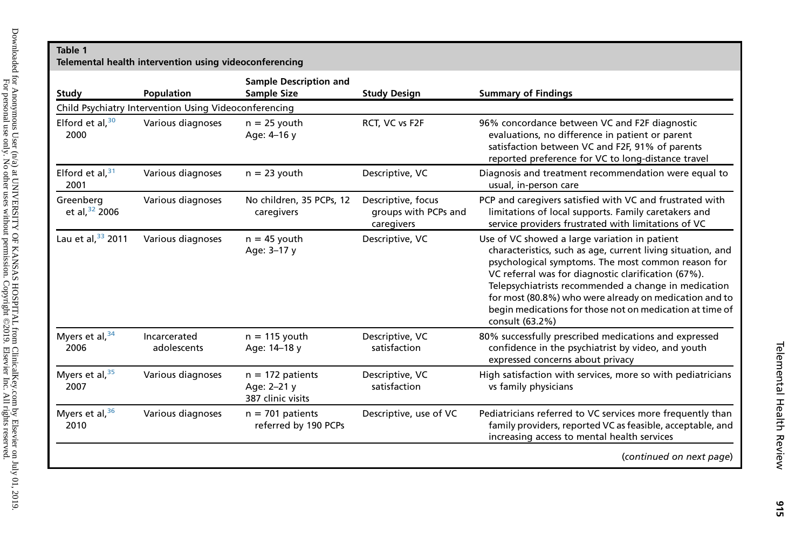<span id="page-2-0"></span>

| Study                         | Population                                            | <b>Sample Description and</b><br>Sample Size           | <b>Study Design</b>                                      | <b>Summary of Findings</b>                                                                                                                                                                                                                                                                                                                                                                                                 |
|-------------------------------|-------------------------------------------------------|--------------------------------------------------------|----------------------------------------------------------|----------------------------------------------------------------------------------------------------------------------------------------------------------------------------------------------------------------------------------------------------------------------------------------------------------------------------------------------------------------------------------------------------------------------------|
|                               | Child Psychiatry Intervention Using Videoconferencing |                                                        |                                                          |                                                                                                                                                                                                                                                                                                                                                                                                                            |
| Elford et al, $30$<br>2000    | Various diagnoses                                     | $n = 25$ youth<br>Age: 4-16 y                          | RCT, VC vs F2F                                           | 96% concordance between VC and F2F diagnostic<br>evaluations, no difference in patient or parent<br>satisfaction between VC and F2F, 91% of parents<br>reported preference for VC to long-distance travel                                                                                                                                                                                                                  |
| Elford et al, $31$<br>2001    | Various diagnoses                                     | $n = 23$ youth                                         | Descriptive, VC                                          | Diagnosis and treatment recommendation were equal to<br>usual, in-person care                                                                                                                                                                                                                                                                                                                                              |
| Greenberg<br>et al, $32$ 2006 | Various diagnoses                                     | No children, 35 PCPs, 12<br>caregivers                 | Descriptive, focus<br>groups with PCPs and<br>caregivers | PCP and caregivers satisfied with VC and frustrated with<br>limitations of local supports. Family caretakers and<br>service providers frustrated with limitations of VC                                                                                                                                                                                                                                                    |
| Lau et al, $33$ 2011          | Various diagnoses                                     | $n = 45$ youth<br>Age: 3-17 y                          | Descriptive, VC                                          | Use of VC showed a large variation in patient<br>characteristics, such as age, current living situation, and<br>psychological symptoms. The most common reason for<br>VC referral was for diagnostic clarification (67%).<br>Telepsychiatrists recommended a change in medication<br>for most (80.8%) who were already on medication and to<br>begin medications for those not on medication at time of<br>consult (63.2%) |
| Myers et al, 34<br>2006       | Incarcerated<br>adolescents                           | $n = 115$ youth<br>Age: 14-18 y                        | Descriptive, VC<br>satisfaction                          | 80% successfully prescribed medications and expressed<br>confidence in the psychiatrist by video, and youth<br>expressed concerns about privacy                                                                                                                                                                                                                                                                            |
| Myers et al, 35<br>2007       | Various diagnoses                                     | $n = 172$ patients<br>Age: 2-21 y<br>387 clinic visits | Descriptive, VC<br>satisfaction                          | High satisfaction with services, more so with pediatricians<br>vs family physicians                                                                                                                                                                                                                                                                                                                                        |
| Myers et al, 36<br>2010       | Various diagnoses                                     | $n = 701$ patients<br>referred by 190 PCPs             | Descriptive, use of VC                                   | Pediatricians referred to VC services more frequently than<br>family providers, reported VC as feasible, acceptable, and<br>increasing access to mental health services                                                                                                                                                                                                                                                    |

Telemental Health Review

**Telemental Health Review**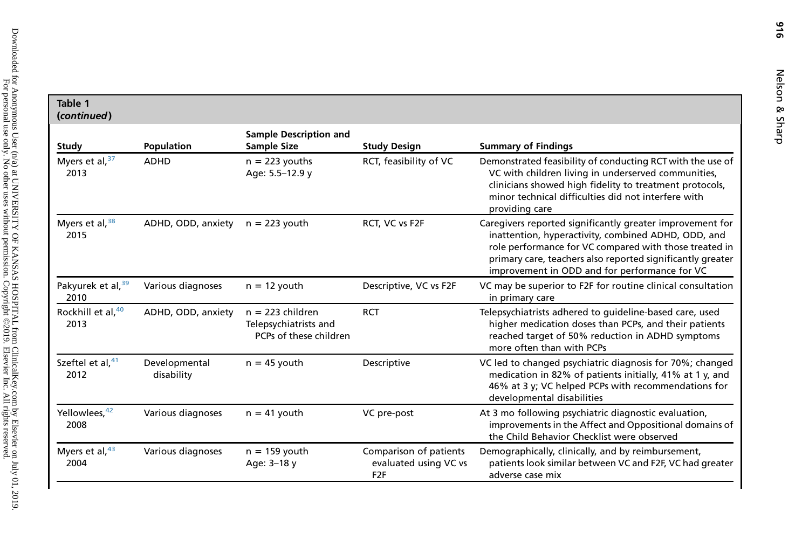| (continued)                           |                             |                                                                       |                                                                    |                                                                                                                                                                                                                                                                                           |
|---------------------------------------|-----------------------------|-----------------------------------------------------------------------|--------------------------------------------------------------------|-------------------------------------------------------------------------------------------------------------------------------------------------------------------------------------------------------------------------------------------------------------------------------------------|
| Study                                 | <b>Population</b>           | <b>Sample Description and</b><br>Sample Size                          | <b>Study Design</b>                                                | <b>Summary of Findings</b>                                                                                                                                                                                                                                                                |
| Myers et al, 37<br>2013               | <b>ADHD</b>                 | $n = 223$ youths<br>Age: 5.5-12.9 y                                   | RCT, feasibility of VC                                             | Demonstrated feasibility of conducting RCT with the use of<br>VC with children living in underserved communities,<br>clinicians showed high fidelity to treatment protocols,<br>minor technical difficulties did not interfere with<br>providing care                                     |
| Myers et al, $38$<br>2015             | ADHD, ODD, anxiety          | $n = 223$ youth                                                       | RCT, VC vs F2F                                                     | Caregivers reported significantly greater improvement for<br>inattention, hyperactivity, combined ADHD, ODD, and<br>role performance for VC compared with those treated in<br>primary care, teachers also reported significantly greater<br>improvement in ODD and for performance for VC |
| Pakyurek et al, 39<br>2010            | Various diagnoses           | $n = 12$ youth                                                        | Descriptive, VC vs F2F                                             | VC may be superior to F2F for routine clinical consultation<br>in primary care                                                                                                                                                                                                            |
| Rockhill et al, <sup>40</sup><br>2013 | ADHD, ODD, anxiety          | $n = 223$ children<br>Telepsychiatrists and<br>PCPs of these children | <b>RCT</b>                                                         | Telepsychiatrists adhered to guideline-based care, used<br>higher medication doses than PCPs, and their patients<br>reached target of 50% reduction in ADHD symptoms<br>more often than with PCPs                                                                                         |
| Szeftel et al, 41<br>2012             | Developmental<br>disability | $n = 45$ youth                                                        | Descriptive                                                        | VC led to changed psychiatric diagnosis for 70%; changed<br>medication in 82% of patients initially, 41% at 1 y, and<br>46% at 3 y; VC helped PCPs with recommendations for<br>developmental disabilities                                                                                 |
| Yellowlees, <sup>42</sup><br>2008     | Various diagnoses           | $n = 41$ youth                                                        | VC pre-post                                                        | At 3 mo following psychiatric diagnostic evaluation,<br>improvements in the Affect and Oppositional domains of<br>the Child Behavior Checklist were observed                                                                                                                              |
| Myers et al, $43$<br>2004             | Various diagnoses           | $n = 159$ youth<br>Age: 3-18 y                                        | Comparison of patients<br>evaluated using VC vs<br>F <sub>2F</sub> | Demographically, clinically, and by reimbursement,<br>patients look similar between VC and F2F, VC had greater<br>adverse case mix                                                                                                                                                        |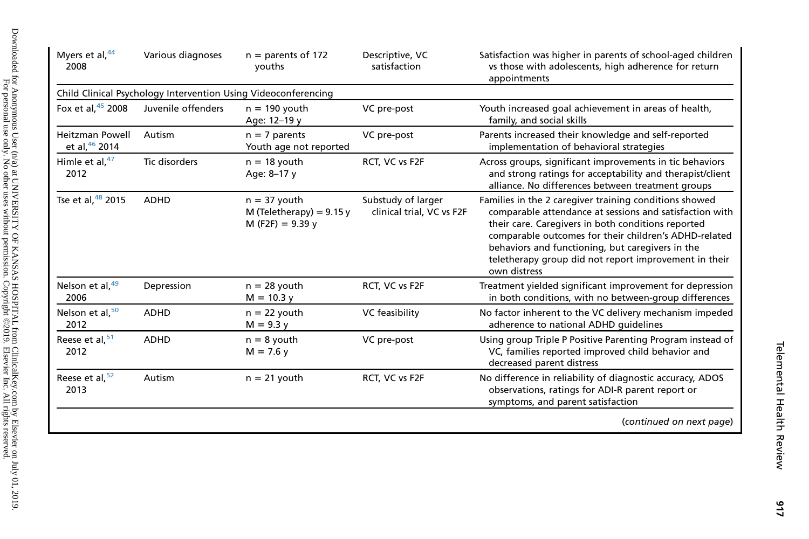| Myers et al, 44<br>2008                  | Various diagnoses  | $n =$ parents of 172<br>youths                                   | Descriptive, VC<br>satisfaction                 | Satisfaction was higher in parents of school-aged children<br>vs those with adolescents, high adherence for return<br>appointments                                                                                                                                                                                                                            |
|------------------------------------------|--------------------|------------------------------------------------------------------|-------------------------------------------------|---------------------------------------------------------------------------------------------------------------------------------------------------------------------------------------------------------------------------------------------------------------------------------------------------------------------------------------------------------------|
|                                          |                    | Child Clinical Psychology Intervention Using Videoconferencing   |                                                 |                                                                                                                                                                                                                                                                                                                                                               |
| Fox et al, $45$ 2008                     | Juvenile offenders | $n = 190$ youth<br>Age: 12-19 y                                  | VC pre-post                                     | Youth increased goal achievement in areas of health,<br>family, and social skills                                                                                                                                                                                                                                                                             |
| <b>Heitzman Powell</b><br>et al, 46 2014 | Autism             | $n = 7$ parents<br>Youth age not reported                        | VC pre-post                                     | Parents increased their knowledge and self-reported<br>implementation of behavioral strategies                                                                                                                                                                                                                                                                |
| Himle et al, $47$<br>2012                | Tic disorders      | $n = 18$ youth<br>Age: 8-17 y                                    | RCT, VC vs F2F                                  | Across groups, significant improvements in tic behaviors<br>and strong ratings for acceptability and therapist/client<br>alliance. No differences between treatment groups                                                                                                                                                                                    |
| Tse et al, <sup>48</sup> 2015            | <b>ADHD</b>        | $n = 37$ youth<br>M (Teletherapy) = $9.15y$<br>M (F2F) = $9.39v$ | Substudy of larger<br>clinical trial, VC vs F2F | Families in the 2 caregiver training conditions showed<br>comparable attendance at sessions and satisfaction with<br>their care. Caregivers in both conditions reported<br>comparable outcomes for their children's ADHD-related<br>behaviors and functioning, but caregivers in the<br>teletherapy group did not report improvement in their<br>own distress |
| Nelson et al, 49<br>2006                 | Depression         | $n = 28$ youth<br>$M = 10.3 y$                                   | RCT, VC vs F2F                                  | Treatment yielded significant improvement for depression<br>in both conditions, with no between-group differences                                                                                                                                                                                                                                             |
| Nelson et al, 50<br>2012                 | <b>ADHD</b>        | $n = 22$ youth<br>$M = 9.3 y$                                    | VC feasibility                                  | No factor inherent to the VC delivery mechanism impeded<br>adherence to national ADHD quidelines                                                                                                                                                                                                                                                              |
| Reese et al, 51<br>2012                  | <b>ADHD</b>        | $n = 8$ youth<br>$M = 7.6 y$                                     | VC pre-post                                     | Using group Triple P Positive Parenting Program instead of<br>VC, families reported improved child behavior and<br>decreased parent distress                                                                                                                                                                                                                  |
| Reese et al, 52<br>2013                  | Autism             | $n = 21$ youth                                                   | RCT, VC vs F2F                                  | No difference in reliability of diagnostic accuracy, ADOS<br>observations, ratings for ADI-R parent report or<br>symptoms, and parent satisfaction                                                                                                                                                                                                            |
|                                          |                    |                                                                  |                                                 | (continued on next page)                                                                                                                                                                                                                                                                                                                                      |

Telemental Health Review

**Telemental Health Review**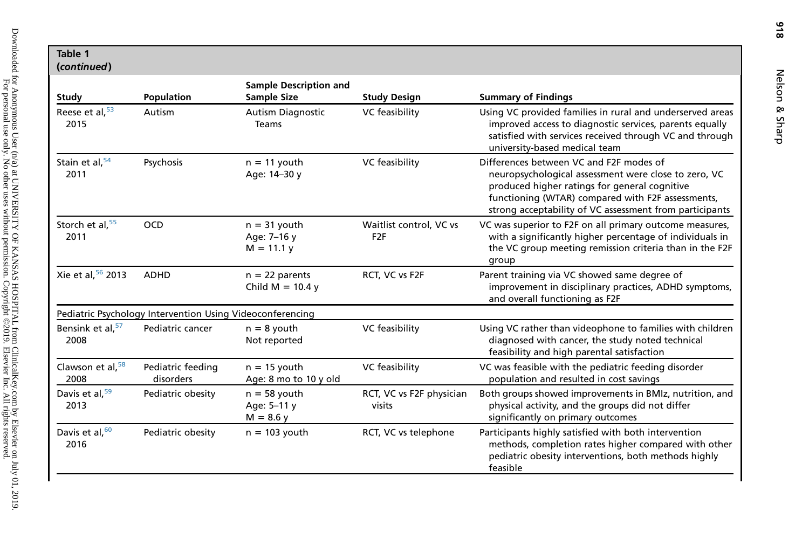| Table 1<br>(continued)             |                                                           |                                                     |                                            |                                                                                                                                                                                                                                                                  |
|------------------------------------|-----------------------------------------------------------|-----------------------------------------------------|--------------------------------------------|------------------------------------------------------------------------------------------------------------------------------------------------------------------------------------------------------------------------------------------------------------------|
| Study                              | <b>Population</b>                                         | <b>Sample Description and</b><br><b>Sample Size</b> | <b>Study Design</b>                        | <b>Summary of Findings</b>                                                                                                                                                                                                                                       |
| Reese et al, 53<br>2015            | Autism                                                    | Autism Diagnostic<br><b>Teams</b>                   | VC feasibility                             | Using VC provided families in rural and underserved areas<br>improved access to diagnostic services, parents equally<br>satisfied with services received through VC and through<br>university-based medical team                                                 |
| Stain et al. <sup>54</sup><br>2011 | Psychosis                                                 | $n = 11$ youth<br>Age: 14-30 y                      | VC feasibility                             | Differences between VC and F2F modes of<br>neuropsychological assessment were close to zero, VC<br>produced higher ratings for general cognitive<br>functioning (WTAR) compared with F2F assessments,<br>strong acceptability of VC assessment from participants |
| Storch et al, 55<br>2011           | <b>OCD</b>                                                | $n = 31$ youth<br>Age: 7-16 y<br>$M = 11.1 v$       | Waitlist control, VC vs<br>F <sub>2F</sub> | VC was superior to F2F on all primary outcome measures,<br>with a significantly higher percentage of individuals in<br>the VC group meeting remission criteria than in the F2F<br>group                                                                          |
| Xie et al, 56 2013                 | <b>ADHD</b>                                               | $n = 22$ parents<br>Child M = $10.4y$               | RCT. VC vs F2F                             | Parent training via VC showed same degree of<br>improvement in disciplinary practices, ADHD symptoms,<br>and overall functioning as F2F                                                                                                                          |
|                                    | Pediatric Psychology Intervention Using Videoconferencing |                                                     |                                            |                                                                                                                                                                                                                                                                  |
| Bensink et al, 57<br>2008          | Pediatric cancer                                          | $n = 8$ youth<br>Not reported                       | VC feasibility                             | Using VC rather than videophone to families with children<br>diagnosed with cancer, the study noted technical<br>feasibility and high parental satisfaction                                                                                                      |
| Clawson et al, 58<br>2008          | Pediatric feeding<br>disorders                            | $n = 15$ youth<br>Age: 8 mo to 10 y old             | VC feasibility                             | VC was feasible with the pediatric feeding disorder<br>population and resulted in cost savings                                                                                                                                                                   |
| Davis et al, 59<br>2013            | Pediatric obesity                                         | $n = 58$ youth<br>Age: 5-11 y<br>$M = 8.6 y$        | RCT, VC vs F2F physician<br>visits         | Both groups showed improvements in BMIz, nutrition, and<br>physical activity, and the groups did not differ<br>significantly on primary outcomes                                                                                                                 |
| Davis et al, 60<br>2016            | Pediatric obesity                                         | $n = 103$ youth                                     | RCT, VC vs telephone                       | Participants highly satisfied with both intervention<br>methods, completion rates higher compared with other<br>pediatric obesity interventions, both methods highly<br>feasible                                                                                 |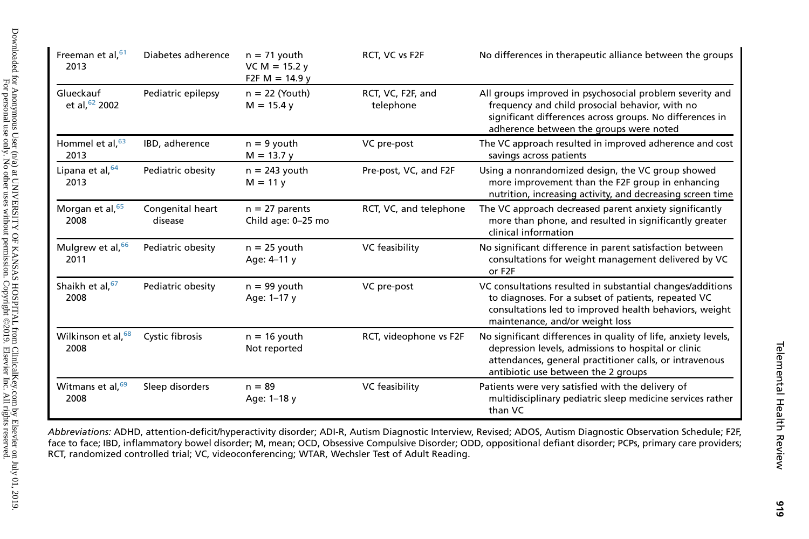| Freeman et al, 61<br>2013   | Diabetes adherence          | $n = 71$ youth<br>VC M = $15.2 v$<br>F2F M = $14.9y$ | RCT, VC vs F2F                 | No differences in therapeutic alliance between the groups                                                                                                                                                               |
|-----------------------------|-----------------------------|------------------------------------------------------|--------------------------------|-------------------------------------------------------------------------------------------------------------------------------------------------------------------------------------------------------------------------|
| Glueckauf<br>et al, 62 2002 | Pediatric epilepsy          | $n = 22$ (Youth)<br>$M = 15.4$ v                     | RCT, VC, F2F, and<br>telephone | All groups improved in psychosocial problem severity and<br>frequency and child prosocial behavior, with no<br>significant differences across groups. No differences in<br>adherence between the groups were noted      |
| Hommel et al, 63<br>2013    | IBD, adherence              | $n = 9$ youth<br>$M = 13.7 y$                        | VC pre-post                    | The VC approach resulted in improved adherence and cost<br>savings across patients                                                                                                                                      |
| Lipana et al, 64<br>2013    | Pediatric obesity           | $n = 243$ youth<br>$M = 11y$                         | Pre-post, VC, and F2F          | Using a nonrandomized design, the VC group showed<br>more improvement than the F2F group in enhancing<br>nutrition, increasing activity, and decreasing screen time                                                     |
| Morgan et al, 65<br>2008    | Congenital heart<br>disease | $n = 27$ parents<br>Child age: 0-25 mo               | RCT, VC, and telephone         | The VC approach decreased parent anxiety significantly<br>more than phone, and resulted in significantly greater<br>clinical information                                                                                |
| Mulgrew et al, 66<br>2011   | Pediatric obesity           | $n = 25$ youth<br>Age: 4-11 y                        | VC feasibility                 | No significant difference in parent satisfaction between<br>consultations for weight management delivered by VC<br>or F <sub>2</sub> F                                                                                  |
| Shaikh et al, 67<br>2008    | Pediatric obesity           | $n = 99$ youth<br>Age: 1-17 y                        | VC pre-post                    | VC consultations resulted in substantial changes/additions<br>to diagnoses. For a subset of patients, repeated VC<br>consultations led to improved health behaviors, weight<br>maintenance, and/or weight loss          |
| Wilkinson et al, 68<br>2008 | Cystic fibrosis             | $n = 16$ youth<br>Not reported                       | RCT, videophone vs F2F         | No significant differences in quality of life, anxiety levels,<br>depression levels, admissions to hospital or clinic<br>attendances, general practitioner calls, or intravenous<br>antibiotic use between the 2 groups |
| Witmans et al, 69<br>2008   | Sleep disorders             | $n = 89$<br>Age: 1-18 y                              | VC feasibility                 | Patients were very satisfied with the delivery of<br>multidisciplinary pediatric sleep medicine services rather<br>than VC                                                                                              |

Abbreviations: ADHD, attention-deficit/hyperactivity disorder; ADI-R, Autism Diagnostic Interview, Revised; ADOS, Autism Diagnostic Observation Schedule; F2F, face to face; IBD, inflammatory bowel disorder; M, mean; OCD, Obsessive Compulsive Disorder; ODD, oppositional defiant disorder; PCPs, primary care providers; RCT, randomized controlled trial; VC, videoconferencing; WTAR, Wechsler Test of Adult Reading.

Telemental Health Review

**Telemental Health Review**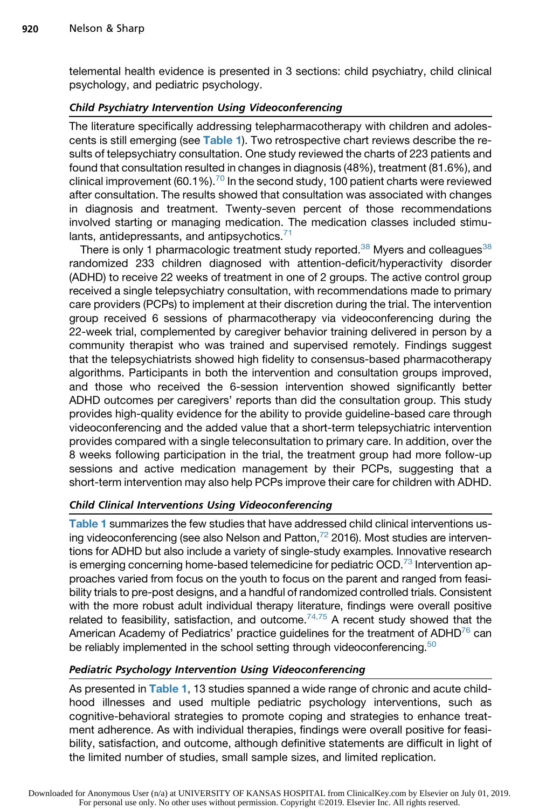telemental health evidence is presented in 3 sections: child psychiatry, child clinical psychology, and pediatric psychology.

# Child Psychiatry Intervention Using Videoconferencing

The literature specifically addressing telepharmacotherapy with children and adolescents is still emerging (see [Table 1](#page-2-0)). Two retrospective chart reviews describe the results of telepsychiatry consultation. One study reviewed the charts of 223 patients and found that consultation resulted in changes in diagnosis (48%), treatment (81.6%), and clinical improvement (60.1%).<sup>[70](#page-17-0)</sup> In the second study, 100 patient charts were reviewed after consultation. The results showed that consultation was associated with changes in diagnosis and treatment. Twenty-seven percent of those recommendations involved starting or managing medication. The medication classes included stimulants, antidepressants, and antipsychotics. $71$ 

There is only 1 pharmacologic treatment study reported. $38$  Myers and colleagues $38$ randomized 233 children diagnosed with attention-deficit/hyperactivity disorder (ADHD) to receive 22 weeks of treatment in one of 2 groups. The active control group received a single telepsychiatry consultation, with recommendations made to primary care providers (PCPs) to implement at their discretion during the trial. The intervention group received 6 sessions of pharmacotherapy via videoconferencing during the 22-week trial, complemented by caregiver behavior training delivered in person by a community therapist who was trained and supervised remotely. Findings suggest that the telepsychiatrists showed high fidelity to consensus-based pharmacotherapy algorithms. Participants in both the intervention and consultation groups improved, and those who received the 6-session intervention showed significantly better ADHD outcomes per caregivers' reports than did the consultation group. This study provides high-quality evidence for the ability to provide guideline-based care through videoconferencing and the added value that a short-term telepsychiatric intervention provides compared with a single teleconsultation to primary care. In addition, over the 8 weeks following participation in the trial, the treatment group had more follow-up sessions and active medication management by their PCPs, suggesting that a short-term intervention may also help PCPs improve their care for children with ADHD.

# Child Clinical Interventions Using Videoconferencing

[Table 1](#page-2-0) summarizes the few studies that have addressed child clinical interventions using videoconferencing (see also Nelson and Patton, $72$  2016). Most studies are interventions for ADHD but also include a variety of single-study examples. Innovative research is emerging concerning home-based telemedicine for pediatric OCD.<sup>73</sup> Intervention approaches varied from focus on the youth to focus on the parent and ranged from feasibility trials to pre-post designs, and a handful of randomized controlled trials. Consistent with the more robust adult individual therapy literature, findings were overall positive related to feasibility, satisfaction, and outcome. $74,75$  A recent study showed that the American Academy of Pediatrics' practice guidelines for the treatment of  $ADHD^{76}$  $ADHD^{76}$  $ADHD^{76}$  can be reliably implemented in the school setting through videoconferencing.<sup>50</sup>

# Pediatric Psychology Intervention Using Videoconferencing

As presented in [Table 1](#page-2-0), 13 studies spanned a wide range of chronic and acute childhood illnesses and used multiple pediatric psychology interventions, such as cognitive-behavioral strategies to promote coping and strategies to enhance treatment adherence. As with individual therapies, findings were overall positive for feasibility, satisfaction, and outcome, although definitive statements are difficult in light of the limited number of studies, small sample sizes, and limited replication.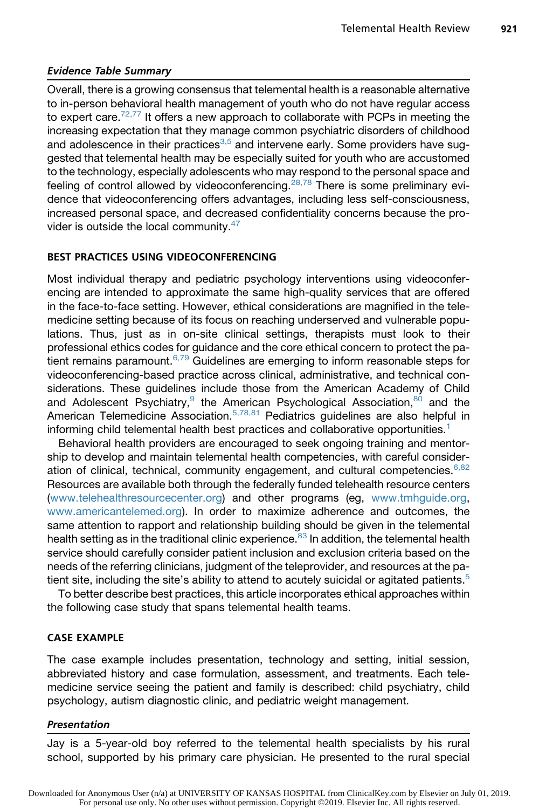# Evidence Table Summary

Overall, there is a growing consensus that telemental health is a reasonable alternative to in-person behavioral health management of youth who do not have regular access to expert care.<sup> $72,77$ </sup> It offers a new approach to collaborate with PCPs in meeting the increasing expectation that they manage common psychiatric disorders of childhood and adolescence in their practices<sup>[3,5](#page-14-0)</sup> and intervene early. Some providers have suggested that telemental health may be especially suited for youth who are accustomed to the technology, especially adolescents who may respond to the personal space and feeling of control allowed by videoconferencing.<sup>[28,78](#page-15-0)</sup> There is some preliminary evidence that videoconferencing offers advantages, including less self-consciousness, increased personal space, and decreased confidentiality concerns because the pro-vider is outside the local community.<sup>[47](#page-16-0)</sup>

# BEST PRACTICES USING VIDEOCONFERENCING

Most individual therapy and pediatric psychology interventions using videoconferencing are intended to approximate the same high-quality services that are offered in the face-to-face setting. However, ethical considerations are magnified in the telemedicine setting because of its focus on reaching underserved and vulnerable populations. Thus, just as in on-site clinical settings, therapists must look to their professional ethics codes for guidance and the core ethical concern to protect the pa-tient remains paramount.<sup>[6,79](#page-14-0)</sup> Guidelines are emerging to inform reasonable steps for videoconferencing-based practice across clinical, administrative, and technical considerations. These guidelines include those from the American Academy of Child and Adolescent Psychiatry,  $9$  the American Psychological Association,  $80$  and the American Telemedicine Association.<sup>[5,78,81](#page-14-0)</sup> Pediatrics guidelines are also helpful in informing child telemental health best practices and collaborative opportunities.<sup>[1](#page-13-0)</sup>

Behavioral health providers are encouraged to seek ongoing training and mentorship to develop and maintain telemental health competencies, with careful consider-ation of clinical, technical, community engagement, and cultural competencies.<sup>[6,82](#page-14-0)</sup> Resources are available both through the federally funded telehealth resource centers [\(www.telehealthresourcecenter.org](http://www.telehealthresourcecenter.org)) and other programs (eg, [www.tmhguide.org](http://www.tmhguide.org), [www.americantelemed.org\)](http://www.americantelemed.org). In order to maximize adherence and outcomes, the same attention to rapport and relationship building should be given in the telemental health setting as in the traditional clinic experience.<sup>[83](#page-18-0)</sup> In addition, the telemental health service should carefully consider patient inclusion and exclusion criteria based on the needs of the referring clinicians, judgment of the teleprovider, and resources at the patient site, including the site's ability to attend to acutely suicidal or agitated patients. $5$ 

To better describe best practices, this article incorporates ethical approaches within the following case study that spans telemental health teams.

# CASE EXAMPLE

The case example includes presentation, technology and setting, initial session, abbreviated history and case formulation, assessment, and treatments. Each telemedicine service seeing the patient and family is described: child psychiatry, child psychology, autism diagnostic clinic, and pediatric weight management.

# Presentation

Jay is a 5-year-old boy referred to the telemental health specialists by his rural school, supported by his primary care physician. He presented to the rural special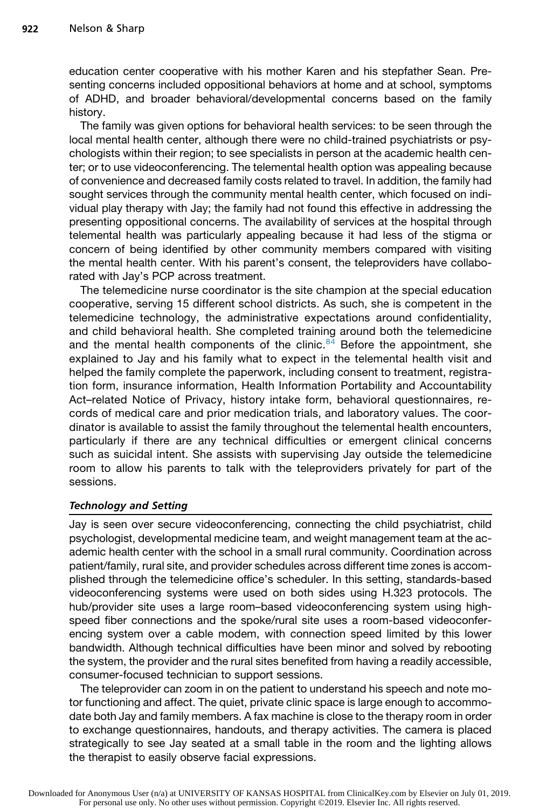education center cooperative with his mother Karen and his stepfather Sean. Presenting concerns included oppositional behaviors at home and at school, symptoms of ADHD, and broader behavioral/developmental concerns based on the family history.

The family was given options for behavioral health services: to be seen through the local mental health center, although there were no child-trained psychiatrists or psychologists within their region; to see specialists in person at the academic health center; or to use videoconferencing. The telemental health option was appealing because of convenience and decreased family costs related to travel. In addition, the family had sought services through the community mental health center, which focused on individual play therapy with Jay; the family had not found this effective in addressing the presenting oppositional concerns. The availability of services at the hospital through telemental health was particularly appealing because it had less of the stigma or concern of being identified by other community members compared with visiting the mental health center. With his parent's consent, the teleproviders have collaborated with Jay's PCP across treatment.

The telemedicine nurse coordinator is the site champion at the special education cooperative, serving 15 different school districts. As such, she is competent in the telemedicine technology, the administrative expectations around confidentiality, and child behavioral health. She completed training around both the telemedicine and the mental health components of the clinic. $84$  Before the appointment, she explained to Jay and his family what to expect in the telemental health visit and helped the family complete the paperwork, including consent to treatment, registration form, insurance information, Health Information Portability and Accountability Act–related Notice of Privacy, history intake form, behavioral questionnaires, records of medical care and prior medication trials, and laboratory values. The coordinator is available to assist the family throughout the telemental health encounters, particularly if there are any technical difficulties or emergent clinical concerns such as suicidal intent. She assists with supervising Jay outside the telemedicine room to allow his parents to talk with the teleproviders privately for part of the sessions.

# Technology and Setting

Jay is seen over secure videoconferencing, connecting the child psychiatrist, child psychologist, developmental medicine team, and weight management team at the academic health center with the school in a small rural community. Coordination across patient/family, rural site, and provider schedules across different time zones is accomplished through the telemedicine office's scheduler. In this setting, standards-based videoconferencing systems were used on both sides using H.323 protocols. The hub/provider site uses a large room–based videoconferencing system using highspeed fiber connections and the spoke/rural site uses a room-based videoconferencing system over a cable modem, with connection speed limited by this lower bandwidth. Although technical difficulties have been minor and solved by rebooting the system, the provider and the rural sites benefited from having a readily accessible, consumer-focused technician to support sessions.

The teleprovider can zoom in on the patient to understand his speech and note motor functioning and affect. The quiet, private clinic space is large enough to accommodate both Jay and family members. A fax machine is close to the therapy room in order to exchange questionnaires, handouts, and therapy activities. The camera is placed strategically to see Jay seated at a small table in the room and the lighting allows the therapist to easily observe facial expressions.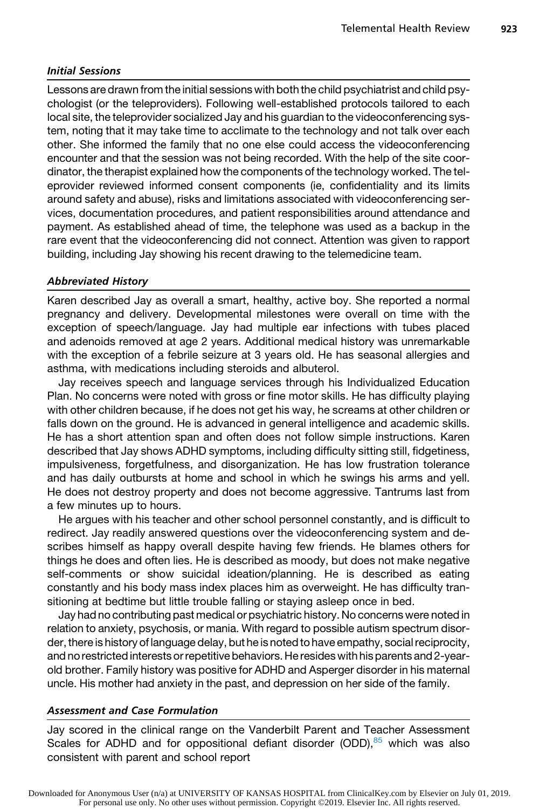# Initial Sessions

Lessons are drawn from the initial sessions with both the child psychiatrist and child psychologist (or the teleproviders). Following well-established protocols tailored to each local site, the teleprovider socialized Jay and his guardian to the videoconferencing system, noting that it may take time to acclimate to the technology and not talk over each other. She informed the family that no one else could access the videoconferencing encounter and that the session was not being recorded. With the help of the site coordinator, the therapist explained how the components of the technology worked. The teleprovider reviewed informed consent components (ie, confidentiality and its limits around safety and abuse), risks and limitations associated with videoconferencing services, documentation procedures, and patient responsibilities around attendance and payment. As established ahead of time, the telephone was used as a backup in the rare event that the videoconferencing did not connect. Attention was given to rapport building, including Jay showing his recent drawing to the telemedicine team.

# Abbreviated History

Karen described Jay as overall a smart, healthy, active boy. She reported a normal pregnancy and delivery. Developmental milestones were overall on time with the exception of speech/language. Jay had multiple ear infections with tubes placed and adenoids removed at age 2 years. Additional medical history was unremarkable with the exception of a febrile seizure at 3 years old. He has seasonal allergies and asthma, with medications including steroids and albuterol.

Jay receives speech and language services through his Individualized Education Plan. No concerns were noted with gross or fine motor skills. He has difficulty playing with other children because, if he does not get his way, he screams at other children or falls down on the ground. He is advanced in general intelligence and academic skills. He has a short attention span and often does not follow simple instructions. Karen described that Jay shows ADHD symptoms, including difficulty sitting still, fidgetiness, impulsiveness, forgetfulness, and disorganization. He has low frustration tolerance and has daily outbursts at home and school in which he swings his arms and yell. He does not destroy property and does not become aggressive. Tantrums last from a few minutes up to hours.

He argues with his teacher and other school personnel constantly, and is difficult to redirect. Jay readily answered questions over the videoconferencing system and describes himself as happy overall despite having few friends. He blames others for things he does and often lies. He is described as moody, but does not make negative self-comments or show suicidal ideation/planning. He is described as eating constantly and his body mass index places him as overweight. He has difficulty transitioning at bedtime but little trouble falling or staying asleep once in bed.

Jay had no contributing past medical or psychiatric history. No concerns were noted in relation to anxiety, psychosis, or mania. With regard to possible autism spectrum disorder, there is history of language delay, but he is noted to have empathy, social reciprocity, and no restricted interests or repetitive behaviors. He resides with his parents and 2-yearold brother. Family history was positive for ADHD and Asperger disorder in his maternal uncle. His mother had anxiety in the past, and depression on her side of the family.

# Assessment and Case Formulation

Jay scored in the clinical range on the Vanderbilt Parent and Teacher Assessment Scales for ADHD and for oppositional defiant disorder (ODD), $85$  which was also consistent with parent and school report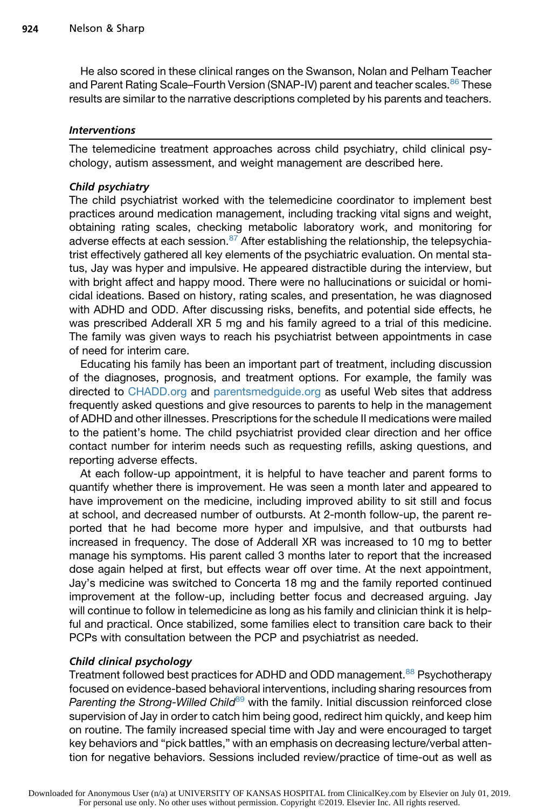He also scored in these clinical ranges on the Swanson, Nolan and Pelham Teacher and Parent Rating Scale–Fourth Version (SNAP-IV) parent and teacher scales.<sup>[86](#page-18-0)</sup> These results are similar to the narrative descriptions completed by his parents and teachers.

#### Interventions

The telemedicine treatment approaches across child psychiatry, child clinical psychology, autism assessment, and weight management are described here.

#### Child psychiatry

The child psychiatrist worked with the telemedicine coordinator to implement best practices around medication management, including tracking vital signs and weight, obtaining rating scales, checking metabolic laboratory work, and monitoring for adverse effects at each session. $87$  After establishing the relationship, the telepsychiatrist effectively gathered all key elements of the psychiatric evaluation. On mental status, Jay was hyper and impulsive. He appeared distractible during the interview, but with bright affect and happy mood. There were no hallucinations or suicidal or homicidal ideations. Based on history, rating scales, and presentation, he was diagnosed with ADHD and ODD. After discussing risks, benefits, and potential side effects, he was prescribed Adderall XR 5 mg and his family agreed to a trial of this medicine. The family was given ways to reach his psychiatrist between appointments in case of need for interim care.

Educating his family has been an important part of treatment, including discussion of the diagnoses, prognosis, and treatment options. For example, the family was directed to [CHADD.org](http://CHADD.org) and [parentsmedguide.org](http://parentsmedguide.org) as useful Web sites that address frequently asked questions and give resources to parents to help in the management of ADHD and other illnesses. Prescriptions for the schedule II medications were mailed to the patient's home. The child psychiatrist provided clear direction and her office contact number for interim needs such as requesting refills, asking questions, and reporting adverse effects.

At each follow-up appointment, it is helpful to have teacher and parent forms to quantify whether there is improvement. He was seen a month later and appeared to have improvement on the medicine, including improved ability to sit still and focus at school, and decreased number of outbursts. At 2-month follow-up, the parent reported that he had become more hyper and impulsive, and that outbursts had increased in frequency. The dose of Adderall XR was increased to 10 mg to better manage his symptoms. His parent called 3 months later to report that the increased dose again helped at first, but effects wear off over time. At the next appointment, Jay's medicine was switched to Concerta 18 mg and the family reported continued improvement at the follow-up, including better focus and decreased arguing. Jay will continue to follow in telemedicine as long as his family and clinician think it is helpful and practical. Once stabilized, some families elect to transition care back to their PCPs with consultation between the PCP and psychiatrist as needed.

#### Child clinical psychology

Treatment followed best practices for ADHD and ODD management.<sup>88</sup> Psychotherapy focused on evidence-based behavioral interventions, including sharing resources from *Parenting the Strong-Willed Child*<sup>[89](#page-18-0)</sup> with the family. Initial discussion reinforced close supervision of Jay in order to catch him being good, redirect him quickly, and keep him on routine. The family increased special time with Jay and were encouraged to target key behaviors and "pick battles," with an emphasis on decreasing lecture/verbal attention for negative behaviors. Sessions included review/practice of time-out as well as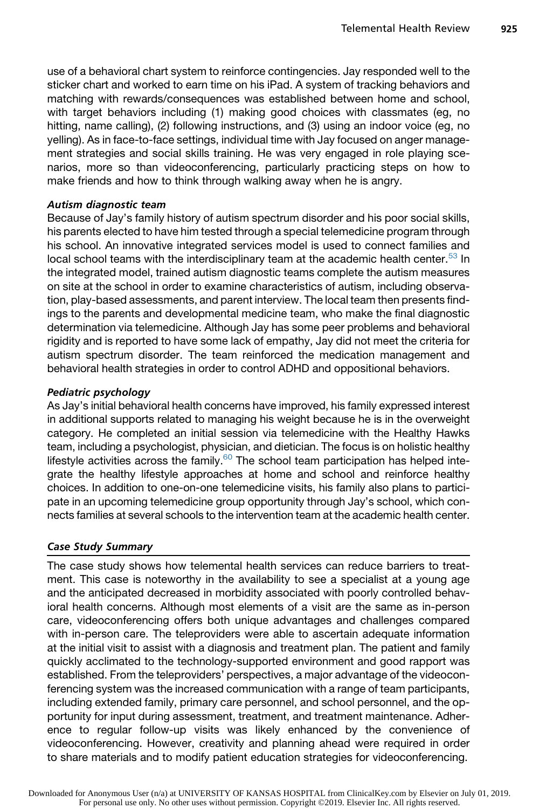use of a behavioral chart system to reinforce contingencies. Jay responded well to the sticker chart and worked to earn time on his iPad. A system of tracking behaviors and matching with rewards/consequences was established between home and school, with target behaviors including (1) making good choices with classmates (eg, no hitting, name calling), (2) following instructions, and (3) using an indoor voice (eg, no yelling). As in face-to-face settings, individual time with Jay focused on anger management strategies and social skills training. He was very engaged in role playing scenarios, more so than videoconferencing, particularly practicing steps on how to make friends and how to think through walking away when he is angry.

# Autism diagnostic team

Because of Jay's family history of autism spectrum disorder and his poor social skills, his parents elected to have him tested through a special telemedicine program through his school. An innovative integrated services model is used to connect families and local school teams with the interdisciplinary team at the academic health center. $53$  In the integrated model, trained autism diagnostic teams complete the autism measures on site at the school in order to examine characteristics of autism, including observation, play-based assessments, and parent interview. The local team then presents findings to the parents and developmental medicine team, who make the final diagnostic determination via telemedicine. Although Jay has some peer problems and behavioral rigidity and is reported to have some lack of empathy, Jay did not meet the criteria for autism spectrum disorder. The team reinforced the medication management and behavioral health strategies in order to control ADHD and oppositional behaviors.

# Pediatric psychology

As Jay's initial behavioral health concerns have improved, his family expressed interest in additional supports related to managing his weight because he is in the overweight category. He completed an initial session via telemedicine with the Healthy Hawks team, including a psychologist, physician, and dietician. The focus is on holistic healthy lifestyle activities across the family. $60$  The school team participation has helped integrate the healthy lifestyle approaches at home and school and reinforce healthy choices. In addition to one-on-one telemedicine visits, his family also plans to participate in an upcoming telemedicine group opportunity through Jay's school, which connects families at several schools to the intervention team at the academic health center.

#### Case Study Summary

The case study shows how telemental health services can reduce barriers to treatment. This case is noteworthy in the availability to see a specialist at a young age and the anticipated decreased in morbidity associated with poorly controlled behavioral health concerns. Although most elements of a visit are the same as in-person care, videoconferencing offers both unique advantages and challenges compared with in-person care. The teleproviders were able to ascertain adequate information at the initial visit to assist with a diagnosis and treatment plan. The patient and family quickly acclimated to the technology-supported environment and good rapport was established. From the teleproviders' perspectives, a major advantage of the videoconferencing system was the increased communication with a range of team participants, including extended family, primary care personnel, and school personnel, and the opportunity for input during assessment, treatment, and treatment maintenance. Adherence to regular follow-up visits was likely enhanced by the convenience of videoconferencing. However, creativity and planning ahead were required in order to share materials and to modify patient education strategies for videoconferencing.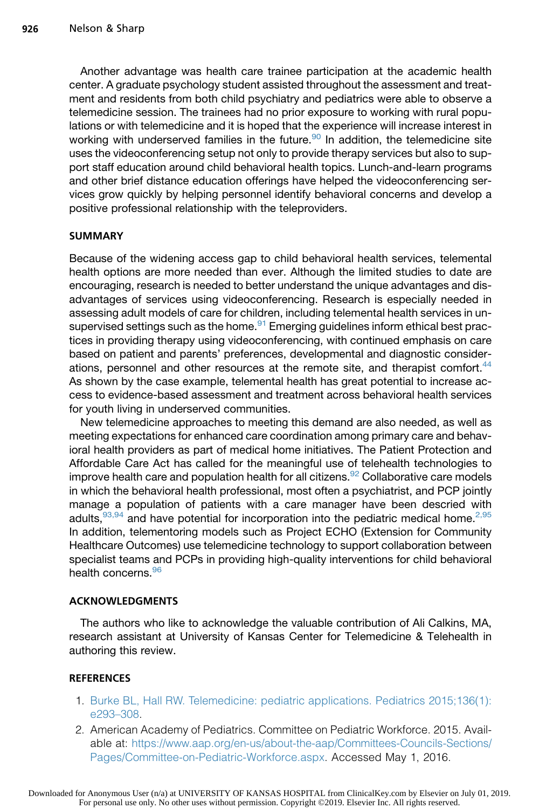<span id="page-13-0"></span>Another advantage was health care trainee participation at the academic health center. A graduate psychology student assisted throughout the assessment and treatment and residents from both child psychiatry and pediatrics were able to observe a telemedicine session. The trainees had no prior exposure to working with rural populations or with telemedicine and it is hoped that the experience will increase interest in working with underserved families in the future.<sup>[90](#page-18-0)</sup> In addition, the telemedicine site uses the videoconferencing setup not only to provide therapy services but also to support staff education around child behavioral health topics. Lunch-and-learn programs and other brief distance education offerings have helped the videoconferencing services grow quickly by helping personnel identify behavioral concerns and develop a positive professional relationship with the teleproviders.

#### SUMMARY

Because of the widening access gap to child behavioral health services, telemental health options are more needed than ever. Although the limited studies to date are encouraging, research is needed to better understand the unique advantages and disadvantages of services using videoconferencing. Research is especially needed in assessing adult models of care for children, including telemental health services in unsupervised settings such as the home. $91$  Emerging guidelines inform ethical best practices in providing therapy using videoconferencing, with continued emphasis on care based on patient and parents' preferences, developmental and diagnostic consider-ations, personnel and other resources at the remote site, and therapist comfort.<sup>[44](#page-16-0)</sup> As shown by the case example, telemental health has great potential to increase access to evidence-based assessment and treatment across behavioral health services for youth living in underserved communities.

New telemedicine approaches to meeting this demand are also needed, as well as meeting expectations for enhanced care coordination among primary care and behavioral health providers as part of medical home initiatives. The Patient Protection and Affordable Care Act has called for the meaningful use of telehealth technologies to improve health care and population health for all citizens. $92$  Collaborative care models in which the behavioral health professional, most often a psychiatrist, and PCP jointly manage a population of patients with a care manager have been descried with adults,  $93,94$  and have potential for incorporation into the pediatric medical home.<sup>2,95</sup> In addition, telementoring models such as Project ECHO (Extension for Community Healthcare Outcomes) use telemedicine technology to support collaboration between specialist teams and PCPs in providing high-quality interventions for child behavioral health concerns.<sup>[96](#page-18-0)</sup>

#### ACKNOWLEDGMENTS

The authors who like to acknowledge the valuable contribution of Ali Calkins, MA, research assistant at University of Kansas Center for Telemedicine & Telehealth in authoring this review.

#### REFERENCES

- 1. [Burke BL, Hall RW. Telemedicine: pediatric applications. Pediatrics 2015;136\(1\):](http://refhub.elsevier.com/S0031-3955(16)41034-5/sref1) [e293–308](http://refhub.elsevier.com/S0031-3955(16)41034-5/sref1).
- 2. American Academy of Pediatrics. Committee on Pediatric Workforce. 2015. Available at: [https://www.aap.org/en-us/about-the-aap/Committees-Councils-Sections/](https://www.aap.org/en-us/about-the-aap/Committees-Councils-Sections/Pages/Committee-on-Pediatric-Workforce.aspx) [Pages/Committee-on-Pediatric-Workforce.aspx](https://www.aap.org/en-us/about-the-aap/Committees-Councils-Sections/Pages/Committee-on-Pediatric-Workforce.aspx). Accessed May 1, 2016.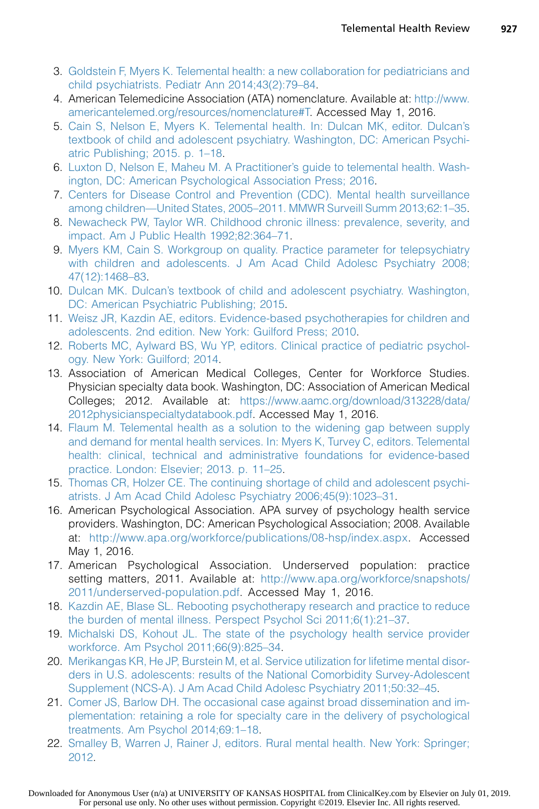- <span id="page-14-0"></span>3. [Goldstein F, Myers K. Telemental health: a new collaboration for pediatricians and](http://refhub.elsevier.com/S0031-3955(16)41034-5/sref3) [child psychiatrists. Pediatr Ann 2014;43\(2\):79–84](http://refhub.elsevier.com/S0031-3955(16)41034-5/sref3).
- 4. American Telemedicine Association (ATA) nomenclature. Available at: [http://www.](http://www.americantelemed.org/resources/nomenclature#T) [americantelemed.org/resources/nomenclature#T.](http://www.americantelemed.org/resources/nomenclature#T) Accessed May 1, 2016.
- 5. [Cain S, Nelson E, Myers K. Telemental health. In: Dulcan MK, editor. Dulcan's](http://refhub.elsevier.com/S0031-3955(16)41034-5/sref5) [textbook of child and adolescent psychiatry. Washington, DC: American Psychi](http://refhub.elsevier.com/S0031-3955(16)41034-5/sref5)[atric Publishing; 2015. p. 1–18](http://refhub.elsevier.com/S0031-3955(16)41034-5/sref5).
- 6. [Luxton D, Nelson E, Maheu M. A Practitioner's guide to telemental health. Wash](http://refhub.elsevier.com/S0031-3955(16)41034-5/sref6)[ington, DC: American Psychological Association Press; 2016](http://refhub.elsevier.com/S0031-3955(16)41034-5/sref6).
- 7. [Centers for Disease Control and Prevention \(CDC\). Mental health surveillance](http://refhub.elsevier.com/S0031-3955(16)41034-5/sref7) [among children—United States, 2005–2011. MMWR Surveill Summ 2013;62:1–35](http://refhub.elsevier.com/S0031-3955(16)41034-5/sref7).
- 8. [Newacheck PW, Taylor WR. Childhood chronic illness: prevalence, severity, and](http://refhub.elsevier.com/S0031-3955(16)41034-5/sref8) [impact. Am J Public Health 1992;82:364–71](http://refhub.elsevier.com/S0031-3955(16)41034-5/sref8).
- 9. [Myers KM, Cain S. Workgroup on quality. Practice parameter for telepsychiatry](http://refhub.elsevier.com/S0031-3955(16)41034-5/sref9) [with children and adolescents. J Am Acad Child Adolesc Psychiatry 2008;](http://refhub.elsevier.com/S0031-3955(16)41034-5/sref9) [47\(12\):1468–83](http://refhub.elsevier.com/S0031-3955(16)41034-5/sref9).
- 10. [Dulcan MK. Dulcan's textbook of child and adolescent psychiatry. Washington,](http://refhub.elsevier.com/S0031-3955(16)41034-5/sref10) [DC: American Psychiatric Publishing; 2015](http://refhub.elsevier.com/S0031-3955(16)41034-5/sref10).
- 11. [Weisz JR, Kazdin AE, editors. Evidence-based psychotherapies for children and](http://refhub.elsevier.com/S0031-3955(16)41034-5/sref11) [adolescents. 2nd edition. New York: Guilford Press; 2010.](http://refhub.elsevier.com/S0031-3955(16)41034-5/sref11)
- 12. [Roberts MC, Aylward BS, Wu YP, editors. Clinical practice of pediatric psychol](http://refhub.elsevier.com/S0031-3955(16)41034-5/sref12)[ogy. New York: Guilford; 2014](http://refhub.elsevier.com/S0031-3955(16)41034-5/sref12).
- 13. Association of American Medical Colleges, Center for Workforce Studies. Physician specialty data book. Washington, DC: Association of American Medical Colleges; 2012. Available at: [https://www.aamc.org/download/313228/data/](https://www.aamc.org/download/313228/data/2012physicianspecialtydatabook.pdf) [2012physicianspecialtydatabook.pdf](https://www.aamc.org/download/313228/data/2012physicianspecialtydatabook.pdf). Accessed May 1, 2016.
- 14. [Flaum M. Telemental health as a solution to the widening gap between supply](http://refhub.elsevier.com/S0031-3955(16)41034-5/sref14) [and demand for mental health services. In: Myers K, Turvey C, editors. Telemental](http://refhub.elsevier.com/S0031-3955(16)41034-5/sref14) [health: clinical, technical and administrative foundations for evidence-based](http://refhub.elsevier.com/S0031-3955(16)41034-5/sref14) [practice. London: Elsevier; 2013. p. 11–25](http://refhub.elsevier.com/S0031-3955(16)41034-5/sref14).
- 15. [Thomas CR, Holzer CE. The continuing shortage of child and adolescent psychi](http://refhub.elsevier.com/S0031-3955(16)41034-5/sref15)[atrists. J Am Acad Child Adolesc Psychiatry 2006;45\(9\):1023–31](http://refhub.elsevier.com/S0031-3955(16)41034-5/sref15).
- 16. American Psychological Association. APA survey of psychology health service providers. Washington, DC: American Psychological Association; 2008. Available at: [http://www.apa.org/workforce/publications/08-hsp/index.aspx.](http://www.apa.org/workforce/publications/08-hsp/index.aspx) Accessed May 1, 2016.
- 17. American Psychological Association. Underserved population: practice setting matters, 2011. Available at: [http://www.apa.org/workforce/snapshots/](http://www.apa.org/workforce/snapshots/2011/underserved-population.pdf) [2011/underserved-population.pdf](http://www.apa.org/workforce/snapshots/2011/underserved-population.pdf). Accessed May 1, 2016.
- 18. [Kazdin AE, Blase SL. Rebooting psychotherapy research and practice to reduce](http://refhub.elsevier.com/S0031-3955(16)41034-5/sref18) [the burden of mental illness. Perspect Psychol Sci 2011;6\(1\):21–37.](http://refhub.elsevier.com/S0031-3955(16)41034-5/sref18)
- 19. [Michalski DS, Kohout JL. The state of the psychology health service provider](http://refhub.elsevier.com/S0031-3955(16)41034-5/sref19) [workforce. Am Psychol 2011;66\(9\):825–34](http://refhub.elsevier.com/S0031-3955(16)41034-5/sref19).
- 20. [Merikangas KR, He JP, Burstein M, et al. Service utilization for lifetime mental disor](http://refhub.elsevier.com/S0031-3955(16)41034-5/sref20)[ders in U.S. adolescents: results of the National Comorbidity Survey-Adolescent](http://refhub.elsevier.com/S0031-3955(16)41034-5/sref20) [Supplement \(NCS-A\). J Am Acad Child Adolesc Psychiatry 2011;50:32–45](http://refhub.elsevier.com/S0031-3955(16)41034-5/sref20).
- 21. [Comer JS, Barlow DH. The occasional case against broad dissemination and im](http://refhub.elsevier.com/S0031-3955(16)41034-5/sref21)[plementation: retaining a role for specialty care in the delivery of psychological](http://refhub.elsevier.com/S0031-3955(16)41034-5/sref21) [treatments. Am Psychol 2014;69:1–18](http://refhub.elsevier.com/S0031-3955(16)41034-5/sref21).
- 22. [Smalley B, Warren J, Rainer J, editors. Rural mental health. New York: Springer;](http://refhub.elsevier.com/S0031-3955(16)41034-5/sref22) [2012.](http://refhub.elsevier.com/S0031-3955(16)41034-5/sref22)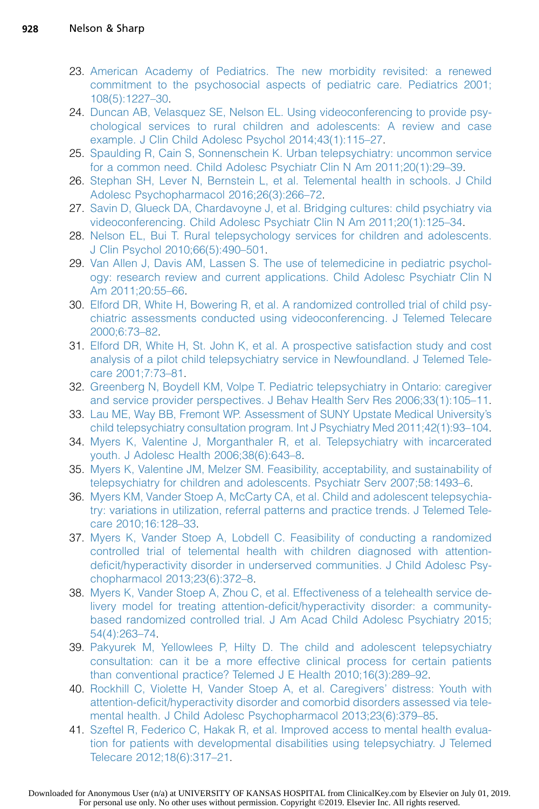- <span id="page-15-0"></span>23. [American Academy of Pediatrics. The new morbidity revisited: a renewed](http://refhub.elsevier.com/S0031-3955(16)41034-5/sref23) [commitment to the psychosocial aspects of pediatric care. Pediatrics 2001;](http://refhub.elsevier.com/S0031-3955(16)41034-5/sref23) [108\(5\):1227–30.](http://refhub.elsevier.com/S0031-3955(16)41034-5/sref23)
- 24. [Duncan AB, Velasquez SE, Nelson EL. Using videoconferencing to provide psy](http://refhub.elsevier.com/S0031-3955(16)41034-5/sref24)[chological services to rural children and adolescents: A review and case](http://refhub.elsevier.com/S0031-3955(16)41034-5/sref24) [example. J Clin Child Adolesc Psychol 2014;43\(1\):115–27.](http://refhub.elsevier.com/S0031-3955(16)41034-5/sref24)
- 25. [Spaulding R, Cain S, Sonnenschein K. Urban telepsychiatry: uncommon service](http://refhub.elsevier.com/S0031-3955(16)41034-5/sref25) [for a common need. Child Adolesc Psychiatr Clin N Am 2011;20\(1\):29–39.](http://refhub.elsevier.com/S0031-3955(16)41034-5/sref25)
- 26. [Stephan SH, Lever N, Bernstein L, et al. Telemental health in schools. J Child](http://refhub.elsevier.com/S0031-3955(16)41034-5/sref26) [Adolesc Psychopharmacol 2016;26\(3\):266–72](http://refhub.elsevier.com/S0031-3955(16)41034-5/sref26).
- 27. [Savin D, Glueck DA, Chardavoyne J, et al. Bridging cultures: child psychiatry via](http://refhub.elsevier.com/S0031-3955(16)41034-5/sref27) [videoconferencing. Child Adolesc Psychiatr Clin N Am 2011;20\(1\):125–34.](http://refhub.elsevier.com/S0031-3955(16)41034-5/sref27)
- 28. [Nelson EL, Bui T. Rural telepsychology services for children and adolescents.](http://refhub.elsevier.com/S0031-3955(16)41034-5/sref28) [J Clin Psychol 2010;66\(5\):490–501](http://refhub.elsevier.com/S0031-3955(16)41034-5/sref28).
- 29. [Van Allen J, Davis AM, Lassen S. The use of telemedicine in pediatric psychol](http://refhub.elsevier.com/S0031-3955(16)41034-5/sref29)[ogy: research review and current applications. Child Adolesc Psychiatr Clin N](http://refhub.elsevier.com/S0031-3955(16)41034-5/sref29) [Am 2011;20:55–66.](http://refhub.elsevier.com/S0031-3955(16)41034-5/sref29)
- 30. [Elford DR, White H, Bowering R, et al. A randomized controlled trial of child psy](http://refhub.elsevier.com/S0031-3955(16)41034-5/sref30)[chiatric assessments conducted using videoconferencing. J Telemed Telecare](http://refhub.elsevier.com/S0031-3955(16)41034-5/sref30) [2000;6:73–82](http://refhub.elsevier.com/S0031-3955(16)41034-5/sref30).
- 31. [Elford DR, White H, St. John K, et al. A prospective satisfaction study and cost](http://refhub.elsevier.com/S0031-3955(16)41034-5/sref31) [analysis of a pilot child telepsychiatry service in Newfoundland. J Telemed Tele](http://refhub.elsevier.com/S0031-3955(16)41034-5/sref31)[care 2001;7:73–81](http://refhub.elsevier.com/S0031-3955(16)41034-5/sref31).
- 32. [Greenberg N, Boydell KM, Volpe T. Pediatric telepsychiatry in Ontario: caregiver](http://refhub.elsevier.com/S0031-3955(16)41034-5/sref32) [and service provider perspectives. J Behav Health Serv Res 2006;33\(1\):105–11.](http://refhub.elsevier.com/S0031-3955(16)41034-5/sref32)
- 33. [Lau ME, Way BB, Fremont WP. Assessment of SUNY Upstate Medical University's](http://refhub.elsevier.com/S0031-3955(16)41034-5/sref33) [child telepsychiatry consultation program. Int J Psychiatry Med 2011;42\(1\):93–104.](http://refhub.elsevier.com/S0031-3955(16)41034-5/sref33)
- 34. [Myers K, Valentine J, Morganthaler R, et al. Telepsychiatry with incarcerated](http://refhub.elsevier.com/S0031-3955(16)41034-5/sref34) [youth. J Adolesc Health 2006;38\(6\):643–8.](http://refhub.elsevier.com/S0031-3955(16)41034-5/sref34)
- 35. [Myers K, Valentine JM, Melzer SM. Feasibility, acceptability, and sustainability of](http://refhub.elsevier.com/S0031-3955(16)41034-5/sref35) [telepsychiatry for children and adolescents. Psychiatr Serv 2007;58:1493–6.](http://refhub.elsevier.com/S0031-3955(16)41034-5/sref35)
- 36. [Myers KM, Vander Stoep A, McCarty CA, et al. Child and adolescent telepsychia](http://refhub.elsevier.com/S0031-3955(16)41034-5/sref36)[try: variations in utilization, referral patterns and practice trends. J Telemed Tele](http://refhub.elsevier.com/S0031-3955(16)41034-5/sref36)[care 2010;16:128–33](http://refhub.elsevier.com/S0031-3955(16)41034-5/sref36).
- 37. [Myers K, Vander Stoep A, Lobdell C. Feasibility of conducting a randomized](http://refhub.elsevier.com/S0031-3955(16)41034-5/sref37) [controlled trial of telemental health with children diagnosed with attention](http://refhub.elsevier.com/S0031-3955(16)41034-5/sref37)[deficit/hyperactivity disorder in underserved communities. J Child Adolesc Psy](http://refhub.elsevier.com/S0031-3955(16)41034-5/sref37)[chopharmacol 2013;23\(6\):372–8.](http://refhub.elsevier.com/S0031-3955(16)41034-5/sref37)
- 38. [Myers K, Vander Stoep A, Zhou C, et al. Effectiveness of a telehealth service de](http://refhub.elsevier.com/S0031-3955(16)41034-5/sref38)[livery model for treating attention-deficit/hyperactivity disorder: a community](http://refhub.elsevier.com/S0031-3955(16)41034-5/sref38)[based randomized controlled trial. J Am Acad Child Adolesc Psychiatry 2015;](http://refhub.elsevier.com/S0031-3955(16)41034-5/sref38) [54\(4\):263–74.](http://refhub.elsevier.com/S0031-3955(16)41034-5/sref38)
- 39. [Pakyurek M, Yellowlees P, Hilty D. The child and adolescent telepsychiatry](http://refhub.elsevier.com/S0031-3955(16)41034-5/sref39) [consultation: can it be a more effective clinical process for certain patients](http://refhub.elsevier.com/S0031-3955(16)41034-5/sref39) [than conventional practice? Telemed J E Health 2010;16\(3\):289–92.](http://refhub.elsevier.com/S0031-3955(16)41034-5/sref39)
- 40. [Rockhill C, Violette H, Vander Stoep A, et al. Caregivers' distress: Youth with](http://refhub.elsevier.com/S0031-3955(16)41034-5/sref40) [attention-deficit/hyperactivity disorder and comorbid disorders assessed via tele](http://refhub.elsevier.com/S0031-3955(16)41034-5/sref40)[mental health. J Child Adolesc Psychopharmacol 2013;23\(6\):379–85.](http://refhub.elsevier.com/S0031-3955(16)41034-5/sref40)
- 41. [Szeftel R, Federico C, Hakak R, et al. Improved access to mental health evalua](http://refhub.elsevier.com/S0031-3955(16)41034-5/sref41)[tion for patients with developmental disabilities using telepsychiatry. J Telemed](http://refhub.elsevier.com/S0031-3955(16)41034-5/sref41) [Telecare 2012;18\(6\):317–21.](http://refhub.elsevier.com/S0031-3955(16)41034-5/sref41)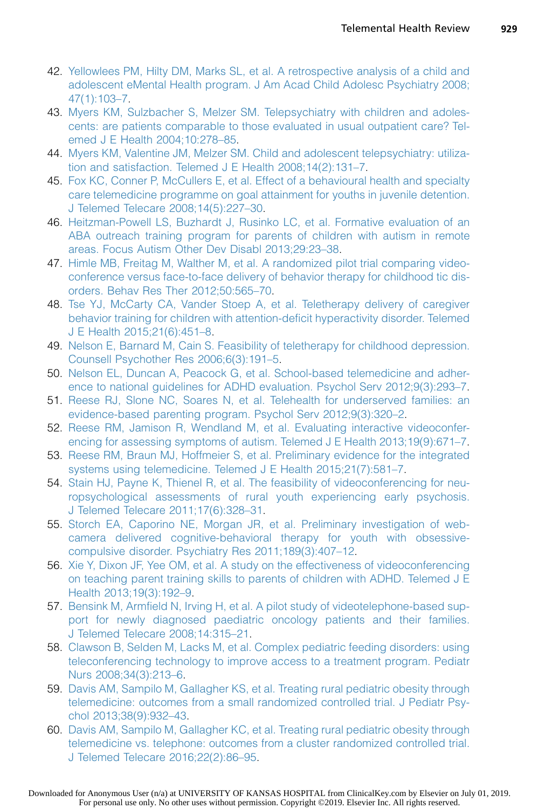- <span id="page-16-0"></span>42. [Yellowlees PM, Hilty DM, Marks SL, et al. A retrospective analysis of a child and](http://refhub.elsevier.com/S0031-3955(16)41034-5/sref42) [adolescent eMental Health program. J Am Acad Child Adolesc Psychiatry 2008;](http://refhub.elsevier.com/S0031-3955(16)41034-5/sref42) [47\(1\):103–7](http://refhub.elsevier.com/S0031-3955(16)41034-5/sref42).
- 43. [Myers KM, Sulzbacher S, Melzer SM. Telepsychiatry with children and adoles](http://refhub.elsevier.com/S0031-3955(16)41034-5/sref43)[cents: are patients comparable to those evaluated in usual outpatient care? Tel](http://refhub.elsevier.com/S0031-3955(16)41034-5/sref43)[emed J E Health 2004;10:278–85](http://refhub.elsevier.com/S0031-3955(16)41034-5/sref43).
- 44. [Myers KM, Valentine JM, Melzer SM. Child and adolescent telepsychiatry: utiliza](http://refhub.elsevier.com/S0031-3955(16)41034-5/sref44)[tion and satisfaction. Telemed J E Health 2008;14\(2\):131–7.](http://refhub.elsevier.com/S0031-3955(16)41034-5/sref44)
- 45. [Fox KC, Conner P, McCullers E, et al. Effect of a behavioural health and specialty](http://refhub.elsevier.com/S0031-3955(16)41034-5/sref45) [care telemedicine programme on goal attainment for youths in juvenile detention.](http://refhub.elsevier.com/S0031-3955(16)41034-5/sref45) [J Telemed Telecare 2008;14\(5\):227–30.](http://refhub.elsevier.com/S0031-3955(16)41034-5/sref45)
- 46. [Heitzman-Powell LS, Buzhardt J, Rusinko LC, et al. Formative evaluation of an](http://refhub.elsevier.com/S0031-3955(16)41034-5/sref46) [ABA outreach training program for parents of children with autism in remote](http://refhub.elsevier.com/S0031-3955(16)41034-5/sref46) [areas. Focus Autism Other Dev Disabl 2013;29:23–38.](http://refhub.elsevier.com/S0031-3955(16)41034-5/sref46)
- 47. [Himle MB, Freitag M, Walther M, et al. A randomized pilot trial comparing video](http://refhub.elsevier.com/S0031-3955(16)41034-5/sref47)[conference versus face-to-face delivery of behavior therapy for childhood tic dis](http://refhub.elsevier.com/S0031-3955(16)41034-5/sref47)[orders. Behav Res Ther 2012;50:565–70.](http://refhub.elsevier.com/S0031-3955(16)41034-5/sref47)
- 48. [Tse YJ, McCarty CA, Vander Stoep A, et al. Teletherapy delivery of caregiver](http://refhub.elsevier.com/S0031-3955(16)41034-5/sref48) [behavior training for children with attention-deficit hyperactivity disorder. Telemed](http://refhub.elsevier.com/S0031-3955(16)41034-5/sref48) [J E Health 2015;21\(6\):451–8](http://refhub.elsevier.com/S0031-3955(16)41034-5/sref48).
- 49. [Nelson E, Barnard M, Cain S. Feasibility of teletherapy for childhood depression.](http://refhub.elsevier.com/S0031-3955(16)41034-5/sref49) [Counsell Psychother Res 2006;6\(3\):191–5](http://refhub.elsevier.com/S0031-3955(16)41034-5/sref49).
- 50. [Nelson EL, Duncan A, Peacock G, et al. School-based telemedicine and adher](http://refhub.elsevier.com/S0031-3955(16)41034-5/sref50)[ence to national guidelines for ADHD evaluation. Psychol Serv 2012;9\(3\):293–7](http://refhub.elsevier.com/S0031-3955(16)41034-5/sref50).
- 51. [Reese RJ, Slone NC, Soares N, et al. Telehealth for underserved families: an](http://refhub.elsevier.com/S0031-3955(16)41034-5/sref51) [evidence-based parenting program. Psychol Serv 2012;9\(3\):320–2.](http://refhub.elsevier.com/S0031-3955(16)41034-5/sref51)
- 52. [Reese RM, Jamison R, Wendland M, et al. Evaluating interactive videoconfer](http://refhub.elsevier.com/S0031-3955(16)41034-5/sref52)[encing for assessing symptoms of autism. Telemed J E Health 2013;19\(9\):671–7](http://refhub.elsevier.com/S0031-3955(16)41034-5/sref52).
- 53. [Reese RM, Braun MJ, Hoffmeier S, et al. Preliminary evidence for the integrated](http://refhub.elsevier.com/S0031-3955(16)41034-5/sref53) [systems using telemedicine. Telemed J E Health 2015;21\(7\):581–7](http://refhub.elsevier.com/S0031-3955(16)41034-5/sref53).
- 54. [Stain HJ, Payne K, Thienel R, et al. The feasibility of videoconferencing for neu](http://refhub.elsevier.com/S0031-3955(16)41034-5/sref54)[ropsychological assessments of rural youth experiencing early psychosis.](http://refhub.elsevier.com/S0031-3955(16)41034-5/sref54) [J Telemed Telecare 2011;17\(6\):328–31.](http://refhub.elsevier.com/S0031-3955(16)41034-5/sref54)
- 55. [Storch EA, Caporino NE, Morgan JR, et al. Preliminary investigation of web](http://refhub.elsevier.com/S0031-3955(16)41034-5/sref55)[camera delivered cognitive-behavioral therapy for youth with obsessive](http://refhub.elsevier.com/S0031-3955(16)41034-5/sref55)[compulsive disorder. Psychiatry Res 2011;189\(3\):407–12](http://refhub.elsevier.com/S0031-3955(16)41034-5/sref55).
- 56. [Xie Y, Dixon JF, Yee OM, et al. A study on the effectiveness of videoconferencing](http://refhub.elsevier.com/S0031-3955(16)41034-5/sref56) [on teaching parent training skills to parents of children with ADHD. Telemed J E](http://refhub.elsevier.com/S0031-3955(16)41034-5/sref56) [Health 2013;19\(3\):192–9](http://refhub.elsevier.com/S0031-3955(16)41034-5/sref56).
- 57. [Bensink M, Armfield N, Irving H, et al. A pilot study of videotelephone-based sup](http://refhub.elsevier.com/S0031-3955(16)41034-5/sref57)[port for newly diagnosed paediatric oncology patients and their families.](http://refhub.elsevier.com/S0031-3955(16)41034-5/sref57) [J Telemed Telecare 2008;14:315–21.](http://refhub.elsevier.com/S0031-3955(16)41034-5/sref57)
- 58. [Clawson B, Selden M, Lacks M, et al. Complex pediatric feeding disorders: using](http://refhub.elsevier.com/S0031-3955(16)41034-5/sref58) [teleconferencing technology to improve access to a treatment program. Pediatr](http://refhub.elsevier.com/S0031-3955(16)41034-5/sref58) [Nurs 2008;34\(3\):213–6.](http://refhub.elsevier.com/S0031-3955(16)41034-5/sref58)
- 59. [Davis AM, Sampilo M, Gallagher KS, et al. Treating rural pediatric obesity through](http://refhub.elsevier.com/S0031-3955(16)41034-5/sref59) [telemedicine: outcomes from a small randomized controlled trial. J Pediatr Psy](http://refhub.elsevier.com/S0031-3955(16)41034-5/sref59)[chol 2013;38\(9\):932–43](http://refhub.elsevier.com/S0031-3955(16)41034-5/sref59).
- 60. [Davis AM, Sampilo M, Gallagher KC, et al. Treating rural pediatric obesity through](http://refhub.elsevier.com/S0031-3955(16)41034-5/sref60) [telemedicine vs. telephone: outcomes from a cluster randomized controlled trial.](http://refhub.elsevier.com/S0031-3955(16)41034-5/sref60) [J Telemed Telecare 2016;22\(2\):86–95.](http://refhub.elsevier.com/S0031-3955(16)41034-5/sref60)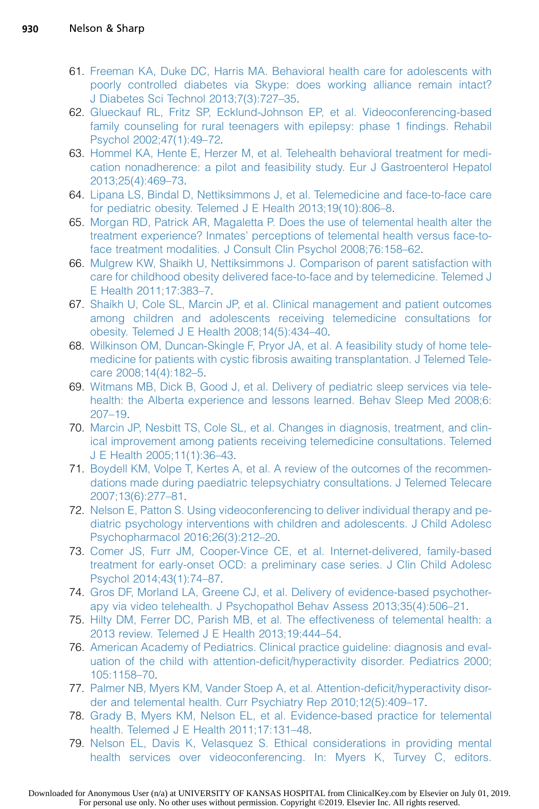- <span id="page-17-0"></span>61. [Freeman KA, Duke DC, Harris MA. Behavioral health care for adolescents with](http://refhub.elsevier.com/S0031-3955(16)41034-5/sref61) [poorly controlled diabetes via Skype: does working alliance remain intact?](http://refhub.elsevier.com/S0031-3955(16)41034-5/sref61) [J Diabetes Sci Technol 2013;7\(3\):727–35.](http://refhub.elsevier.com/S0031-3955(16)41034-5/sref61)
- 62. [Glueckauf RL, Fritz SP, Ecklund-Johnson EP, et al. Videoconferencing-based](http://refhub.elsevier.com/S0031-3955(16)41034-5/sref62) [family counseling for rural teenagers with epilepsy: phase 1 findings. Rehabil](http://refhub.elsevier.com/S0031-3955(16)41034-5/sref62) [Psychol 2002;47\(1\):49–72.](http://refhub.elsevier.com/S0031-3955(16)41034-5/sref62)
- 63. [Hommel KA, Hente E, Herzer M, et al. Telehealth behavioral treatment for medi](http://refhub.elsevier.com/S0031-3955(16)41034-5/sref63)[cation nonadherence: a pilot and feasibility study. Eur J Gastroenterol Hepatol](http://refhub.elsevier.com/S0031-3955(16)41034-5/sref63) [2013;25\(4\):469–73](http://refhub.elsevier.com/S0031-3955(16)41034-5/sref63).
- 64. [Lipana LS, Bindal D, Nettiksimmons J, et al. Telemedicine and face-to-face care](http://refhub.elsevier.com/S0031-3955(16)41034-5/sref64) [for pediatric obesity. Telemed J E Health 2013;19\(10\):806–8](http://refhub.elsevier.com/S0031-3955(16)41034-5/sref64).
- 65. [Morgan RD, Patrick AR, Magaletta P. Does the use of telemental health alter the](http://refhub.elsevier.com/S0031-3955(16)41034-5/sref65) [treatment experience? Inmates' perceptions of telemental health versus face-to](http://refhub.elsevier.com/S0031-3955(16)41034-5/sref65)[face treatment modalities. J Consult Clin Psychol 2008;76:158–62.](http://refhub.elsevier.com/S0031-3955(16)41034-5/sref65)
- 66. [Mulgrew KW, Shaikh U, Nettiksimmons J. Comparison of parent satisfaction with](http://refhub.elsevier.com/S0031-3955(16)41034-5/sref66) [care for childhood obesity delivered face-to-face and by telemedicine. Telemed J](http://refhub.elsevier.com/S0031-3955(16)41034-5/sref66) [E Health 2011;17:383–7.](http://refhub.elsevier.com/S0031-3955(16)41034-5/sref66)
- 67. [Shaikh U, Cole SL, Marcin JP, et al. Clinical management and patient outcomes](http://refhub.elsevier.com/S0031-3955(16)41034-5/sref67) [among children and adolescents receiving telemedicine consultations for](http://refhub.elsevier.com/S0031-3955(16)41034-5/sref67) [obesity. Telemed J E Health 2008;14\(5\):434–40](http://refhub.elsevier.com/S0031-3955(16)41034-5/sref67).
- 68. [Wilkinson OM, Duncan-Skingle F, Pryor JA, et al. A feasibility study of home tele](http://refhub.elsevier.com/S0031-3955(16)41034-5/sref68)[medicine for patients with cystic fibrosis awaiting transplantation. J Telemed Tele](http://refhub.elsevier.com/S0031-3955(16)41034-5/sref68)[care 2008;14\(4\):182–5.](http://refhub.elsevier.com/S0031-3955(16)41034-5/sref68)
- 69. [Witmans MB, Dick B, Good J, et al. Delivery of pediatric sleep services via tele](http://refhub.elsevier.com/S0031-3955(16)41034-5/sref69)[health: the Alberta experience and lessons learned. Behav Sleep Med 2008;6:](http://refhub.elsevier.com/S0031-3955(16)41034-5/sref69) [207–19.](http://refhub.elsevier.com/S0031-3955(16)41034-5/sref69)
- 70. [Marcin JP, Nesbitt TS, Cole SL, et al. Changes in diagnosis, treatment, and clin](http://refhub.elsevier.com/S0031-3955(16)41034-5/sref70)[ical improvement among patients receiving telemedicine consultations. Telemed](http://refhub.elsevier.com/S0031-3955(16)41034-5/sref70) [J E Health 2005;11\(1\):36–43](http://refhub.elsevier.com/S0031-3955(16)41034-5/sref70).
- 71. [Boydell KM, Volpe T, Kertes A, et al. A review of the outcomes of the recommen](http://refhub.elsevier.com/S0031-3955(16)41034-5/sref71)[dations made during paediatric telepsychiatry consultations. J Telemed Telecare](http://refhub.elsevier.com/S0031-3955(16)41034-5/sref71) [2007;13\(6\):277–81](http://refhub.elsevier.com/S0031-3955(16)41034-5/sref71).
- 72. [Nelson E, Patton S. Using videoconferencing to deliver individual therapy and pe](http://refhub.elsevier.com/S0031-3955(16)41034-5/sref72)[diatric psychology interventions with children and adolescents. J Child Adolesc](http://refhub.elsevier.com/S0031-3955(16)41034-5/sref72) [Psychopharmacol 2016;26\(3\):212–20](http://refhub.elsevier.com/S0031-3955(16)41034-5/sref72).
- 73. [Comer JS, Furr JM, Cooper-Vince CE, et al. Internet-delivered, family-based](http://refhub.elsevier.com/S0031-3955(16)41034-5/sref73) [treatment for early-onset OCD: a preliminary case series. J Clin Child Adolesc](http://refhub.elsevier.com/S0031-3955(16)41034-5/sref73) [Psychol 2014;43\(1\):74–87.](http://refhub.elsevier.com/S0031-3955(16)41034-5/sref73)
- 74. [Gros DF, Morland LA, Greene CJ, et al. Delivery of evidence-based psychother](http://refhub.elsevier.com/S0031-3955(16)41034-5/sref74)[apy via video telehealth. J Psychopathol Behav Assess 2013;35\(4\):506–21](http://refhub.elsevier.com/S0031-3955(16)41034-5/sref74).
- 75. [Hilty DM, Ferrer DC, Parish MB, et al. The effectiveness of telemental health: a](http://refhub.elsevier.com/S0031-3955(16)41034-5/sref75) [2013 review. Telemed J E Health 2013;19:444–54](http://refhub.elsevier.com/S0031-3955(16)41034-5/sref75).
- 76. [American Academy of Pediatrics. Clinical practice guideline: diagnosis and eval](http://refhub.elsevier.com/S0031-3955(16)41034-5/sref76)[uation of the child with attention-deficit/hyperactivity disorder. Pediatrics 2000;](http://refhub.elsevier.com/S0031-3955(16)41034-5/sref76) [105:1158–70.](http://refhub.elsevier.com/S0031-3955(16)41034-5/sref76)
- 77. [Palmer NB, Myers KM, Vander Stoep A, et al. Attention-deficit/hyperactivity disor](http://refhub.elsevier.com/S0031-3955(16)41034-5/sref77)[der and telemental health. Curr Psychiatry Rep 2010;12\(5\):409–17](http://refhub.elsevier.com/S0031-3955(16)41034-5/sref77).
- 78. [Grady B, Myers KM, Nelson EL, et al. Evidence-based practice for telemental](http://refhub.elsevier.com/S0031-3955(16)41034-5/sref78) [health. Telemed J E Health 2011;17:131–48.](http://refhub.elsevier.com/S0031-3955(16)41034-5/sref78)
- 79. [Nelson EL, Davis K, Velasquez S. Ethical considerations in providing mental](http://refhub.elsevier.com/S0031-3955(16)41034-5/sref79) [health services over videoconferencing. In: Myers K, Turvey C, editors.](http://refhub.elsevier.com/S0031-3955(16)41034-5/sref79)